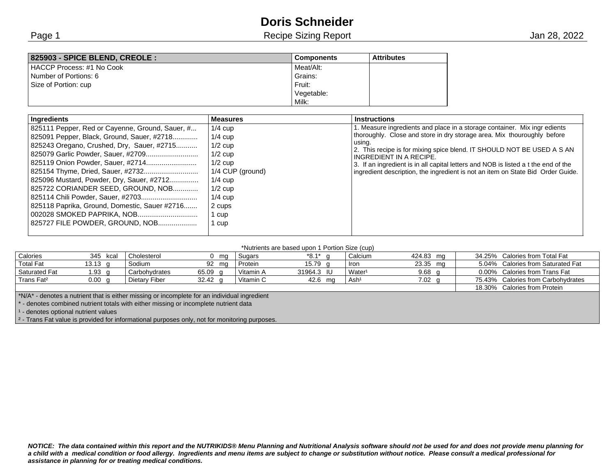# **Doris Schneider**

Page 1 **Page 1** Accress 1988 Recipe Sizing Report 1988 Recipe Sizing Report 1988, 2022

| 825903 - SPICE BLEND, CREOLE : | <b>Components</b> | <b>Attributes</b> |
|--------------------------------|-------------------|-------------------|
| HACCP Process: #1 No Cook      | Meat/Alt:         |                   |
| Number of Portions: 6          | Grains:           |                   |
| Size of Portion: cup           | Fruit:            |                   |
|                                | Vegetable:        |                   |
|                                | Milk:             |                   |

| <b>Ingredients</b>                                                                                                                                                                                                                                                                                                                                      | <b>Measures</b>                                                                                                                                      | <b>Instructions</b>                                                                                                                                                                                                                                                                                                                                                                                                                          |
|---------------------------------------------------------------------------------------------------------------------------------------------------------------------------------------------------------------------------------------------------------------------------------------------------------------------------------------------------------|------------------------------------------------------------------------------------------------------------------------------------------------------|----------------------------------------------------------------------------------------------------------------------------------------------------------------------------------------------------------------------------------------------------------------------------------------------------------------------------------------------------------------------------------------------------------------------------------------------|
| 825111 Pepper, Red or Cayenne, Ground, Sauer, #<br>825091 Pepper, Black, Ground, Sauer, #2718<br>825243 Oregano, Crushed, Dry, Sauer, #2715<br>825096 Mustard, Powder, Dry, Sauer, #2712<br>825722 CORIANDER SEED, GROUND, NOB<br>825114 Chili Powder, Sauer, #2703<br>825118 Paprika, Ground, Domestic, Sauer #2716<br>825727 FILE POWDER, GROUND, NOB | $1/4$ cup<br>$1/4$ cup<br>$1/2$ cup<br>$1/2$ cup<br>$1/2$ cup<br>1/4 CUP (ground)<br>$1/4$ cup<br>$1/2$ cup<br>$1/4$ cup<br>2 cups<br>1 cup<br>1 cup | 1. Measure ingredients and place in a storage container. Mix ingr edients<br>thoroughly. Close and store in dry storage area. Mix thouroughly before<br>using.<br>2. This recipe is for mixing spice blend. IT SHOULD NOT BE USED A S AN<br>INGREDIENT IN A RECIPE.<br>3. If an ingredient is in all capital letters and NOB is listed a t the end of the<br>ingredient description, the ingredient is not an item on State Bid Order Guide. |

#### \*Nutrients are based upon 1 Portion Size (cup)

|                                                                                                |                   |               |                    |           |            | $    -$            |                   |  |                                    |
|------------------------------------------------------------------------------------------------|-------------------|---------------|--------------------|-----------|------------|--------------------|-------------------|--|------------------------------------|
| Calories                                                                                       | 345 kcal          | Cholesterol   | mg                 | Sugars    | *8.1*      | Calcium            | 424.83 mg         |  | 34.25% Calories from Total Fat     |
| Total Fat                                                                                      | 13.13 $q$         | Sodium        | 92 mg              | Protein   | 15.79 $q$  | <b>Iron</b>        | 23.35 mg          |  | 5.04% Calories from Saturated Fat  |
| <b>Saturated Fat</b>                                                                           | 1.93 $q$          | Carbohydrates | 65.09 <sub>q</sub> | Vitamin A | 31964.3 IU | Water <sup>1</sup> | 9.68 <sub>q</sub> |  | 0.00% Calories from Trans Fat      |
| Trans Fat <sup>2</sup>                                                                         | 0.00 <sub>a</sub> | Dietary Fiber | $32.42 \text{ g}$  | Vitamin C | 42.6 mg    | Ash <sup>1</sup>   | $7.02 \text{ q}$  |  | 75.43% Calories from Carbohydrates |
|                                                                                                |                   |               |                    |           |            |                    |                   |  | 18.30% Calories from Protein       |
| $*N/A*$ - denotes a nutrient that is either missing or incomplete for an individual ingredient |                   |               |                    |           |            |                    |                   |  |                                    |
| - denotes combined nutrient totals with either missing or incomplete nutrient data             |                   |               |                    |           |            |                    |                   |  |                                    |
| - denotes optional nutrient values                                                             |                   |               |                    |           |            |                    |                   |  |                                    |

<sup>2</sup> - Trans Fat value is provided for informational purposes only, not for monitoring purposes.

*NOTICE: The data contained within this report and the NUTRIKIDS® Menu Planning and Nutritional Analysis software should not be used for and does not provide menu planning for a child with a medical condition or food allergy. Ingredients and menu items are subject to change or substitution without notice. Please consult a medical professional for assistance in planning for or treating medical conditions.*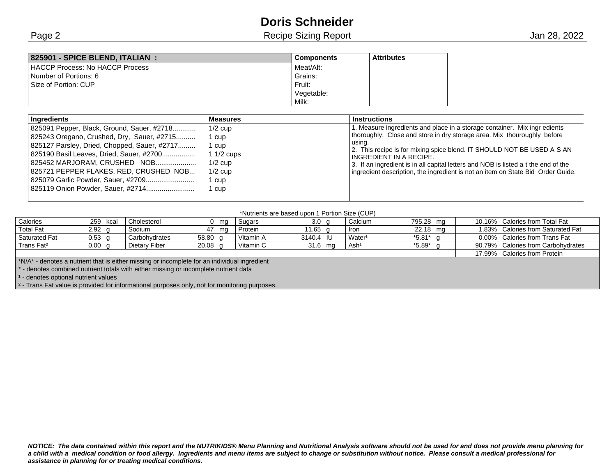## **Doris Schneider**

Page 2 **Recipe Sizing Report** 2 And 28, 2022

| 825901 - SPICE BLEND. ITALIAN :        | <b>Components</b> | <b>Attributes</b> |
|----------------------------------------|-------------------|-------------------|
| <b>HACCP Process: No HACCP Process</b> | Meat/Alt:         |                   |
| Number of Portions: 6                  | Grains:           |                   |
| Size of Portion: CUP                   | Fruit:            |                   |
|                                        | Vegetable:        |                   |
|                                        | Milk:             |                   |

| 1. Measure ingredients and place in a storage container. Mix ingr edients<br>825091 Pepper, Black, Ground, Sauer, #2718<br>$1/2$ cup                                                                                                                                                                                                                                                                                                                                                                                                                                                                                                                                                                                                    |  |
|-----------------------------------------------------------------------------------------------------------------------------------------------------------------------------------------------------------------------------------------------------------------------------------------------------------------------------------------------------------------------------------------------------------------------------------------------------------------------------------------------------------------------------------------------------------------------------------------------------------------------------------------------------------------------------------------------------------------------------------------|--|
| thoroughly. Close and store in dry storage area. Mix thouroughly before<br>825243 Oregano, Crushed, Dry, Sauer, #2715<br>1 cup<br>usina.<br>825127 Parsley, Dried, Chopped, Sauer, #2717<br>1 cup<br>2. This recipe is for mixing spice blend. IT SHOULD NOT BE USED A S AN<br>825190 Basil Leaves, Dried, Sauer, #2700<br>$11/2$ cups<br>INGREDIENT IN A RECIPE.<br>825452 MARJORAM, CRUSHED NOB<br>$1/2$ cup<br>3. If an ingredient is in all capital letters and NOB is listed a t the end of the<br>825721 PEPPER FLAKES, RED, CRUSHED NOB<br>$1/2$ cup<br>ingredient description, the ingredient is not an item on State Bid Order Guide.<br>825079 Garlic Powder, Sauer, #2709<br>cup<br>825119 Onion Powder, Sauer, #2714<br>cup |  |

### \*Nutrients are based upon 1 Portion Size (CUP)

| Calories                                                                                                  | 259 kcal          | Cholesterol   | 0 ma      | Sugars    | 3.0 <sub>q</sub> | Calcium            | 795.28 mg              |  | 10.16% Calories from Total Fat     |
|-----------------------------------------------------------------------------------------------------------|-------------------|---------------|-----------|-----------|------------------|--------------------|------------------------|--|------------------------------------|
| <b>Total Fat</b>                                                                                          | $2.92$ g          | Sodium        | 47 ma     | Protein   | 11.65 $q$        | <b>Iron</b>        | 22.18 mg               |  | 1.83% Calories from Saturated Fat  |
| <b>Saturated Fat</b>                                                                                      | $0.53$ g          | Carbohydrates | 58.80 g   | Vitamin A | 3140.4 IU        | Water <sup>1</sup> | $*5.81$ g              |  | 0.00% Calories from Trans Fat      |
| Trans Fat <sup>2</sup>                                                                                    | 0.00 <sub>q</sub> | Dietary Fiber | $20.08$ q | Vitamin C | 31.6 mg          | Ash <sup>1</sup>   | $*5.89$ <sup>*</sup> g |  | 90.79% Calories from Carbohydrates |
|                                                                                                           |                   |               |           |           |                  |                    |                        |  | 17.99% Calories from Protein       |
| $\mid$ *N/A* - denotes a nutrient that is either missing or incomplete for an individual ingredient       |                   |               |           |           |                  |                    |                        |  |                                    |
| - denotes combined nutrient totals with either missing or incomplete nutrient data                        |                   |               |           |           |                  |                    |                        |  |                                    |
| $1 -$ denotes optional nutrient values                                                                    |                   |               |           |           |                  |                    |                        |  |                                    |
| $\frac{1}{2}$ - Trans Fat value is provided for informational purposes only, not for monitoring purposes. |                   |               |           |           |                  |                    |                        |  |                                    |